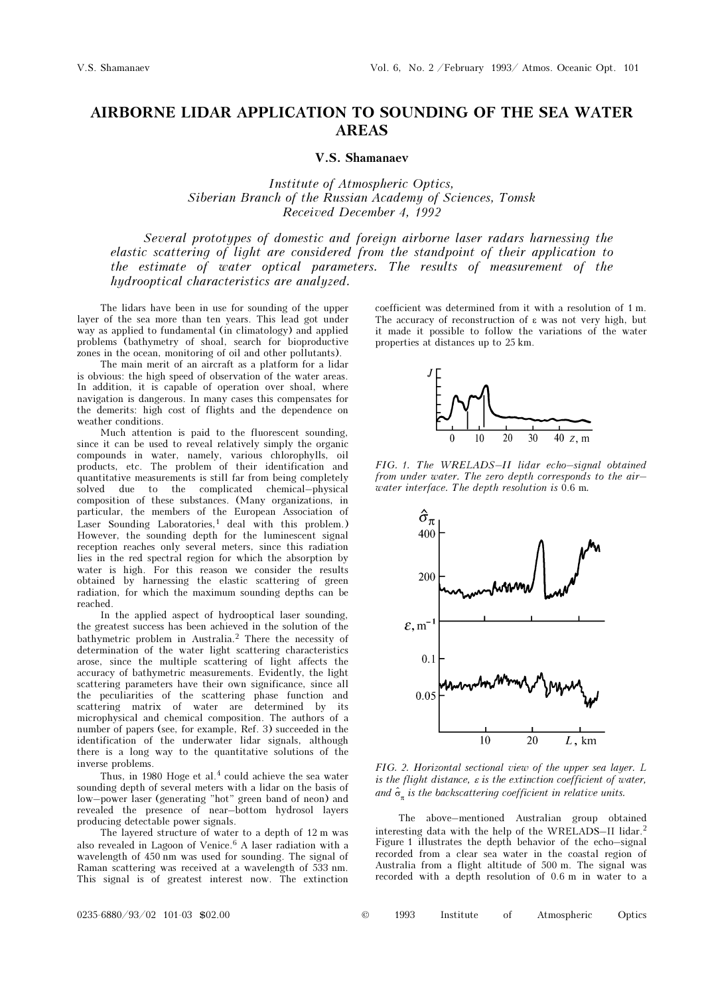## AIRBORNE LIDAR APPLICATION TO SOUNDING OF THE SEA WATER AREAS

## V.S. Shamanaev

Institute of Atmospheric Optics, Siberian Branch of the Russian Academy of Sciences, Tomsk Received December 4, 1992

Several prototypes of domestic and foreign airborne laser radars harnessing the elastic scattering of light are considered from the standpoint of their application to the estimate of water optical parameters. The results of measurement of the hydrooptical characteristics are analyzed.

The lidars have been in use for sounding of the upper layer of the sea more than ten years. This lead got under way as applied to fundamental (in climatology) and applied problems (bathymetry of shoal, search for bioproductive zones in the ocean, monitoring of oil and other pollutants).

The main merit of an aircraft as a platform for a lidar is obvious: the high speed of observation of the water areas. In addition, it is capable of operation over shoal, where navigation is dangerous. In many cases this compensates for the demerits: high cost of flights and the dependence on weather conditions.

Much attention is paid to the fluorescent sounding, since it can be used to reveal relatively simply the organic compounds in water, namely, various chlorophylls, oil products, etc. The problem of their identification and quantitative measurements is still far from being completely solved due to the complicated chemical–physical composition of these substances. (Many organizations, in particular, the members of the European Association of Laser Sounding Laboratories, $<sup>1</sup>$  deal with this problem.)</sup> However, the sounding depth for the luminescent signal reception reaches only several meters, since this radiation lies in the red spectral region for which the absorption by water is high. For this reason we consider the results obtained by harnessing the elastic scattering of green radiation, for which the maximum sounding depths can be reached.

In the applied aspect of hydrooptical laser sounding, the greatest success has been achieved in the solution of the bathymetric problem in Australia.<sup>2</sup> There the necessity of determination of the water light scattering characteristics arose, since the multiple scattering of light affects the accuracy of bathymetric measurements. Evidently, the light scattering parameters have their own significance, since all the peculiarities of the scattering phase function and scattering matrix of water are determined by its microphysical and chemical composition. The authors of a number of papers (see, for example, Ref. 3) succeeded in the identification of the underwater lidar signals, although there is a long way to the quantitative solutions of the inverse problems.

Thus, in 1980 Hoge et al.<sup>4</sup> could achieve the sea water sounding depth of several meters with a lidar on the basis of low–power laser (generating "hot" green band of neon) and revealed the presence of near–bottom hydrosol layers producing detectable power signals.

The layered structure of water to a depth of 12 m was also revealed in Lagoon of Venice. $6$  A laser radiation with a wavelength of 450 nm was used for sounding. The signal of Raman scattering was received at a wavelength of 533 nm. This signal is of greatest interest now. The extinction coefficient was determined from it with a resolution of 1 m. The accuracy of reconstruction of ε was not very high, but it made it possible to follow the variations of the water properties at distances up to 25 km.



FIG. 1. The WRELADS–II lidar echo–signal obtained from under water. The zero depth corresponds to the air– water interface. The depth resolution is 0.6 m.



FIG. 2. Horizontal sectional view of the upper sea layer. L is the flight distance,  $\varepsilon$  is the extinction coefficient of water, and  $\hat{\sigma}_{\pi}$  is the backscattering coefficient in relative units.

The above–mentioned Australian group obtained interesting data with the help of the WRELADS–II lidar.<sup>2</sup> Figure 1 illustrates the depth behavior of the echo–signal recorded from a clear sea water in the coastal region of Australia from a flight altitude of 500 m. The signal was recorded with a depth resolution of 0.6 m in water to a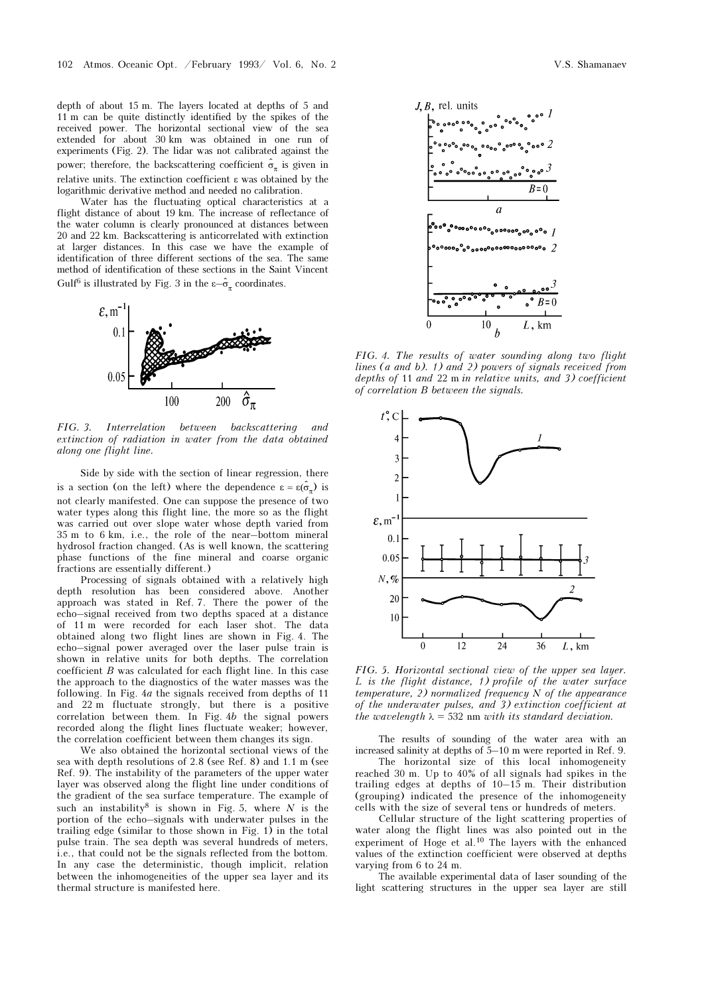depth of about 15 m. The layers located at depths of 5 and 11 m can be quite distinctly identified by the spikes of the received power. The horizontal sectional view of the sea extended for about 30 km was obtained in one run of experiments (Fig. 2). The lidar was not calibrated against the power; therefore, the backscattering coefficient  $\hat{\sigma}_{\pi}$  is given in relative units. The extinction coefficient ε was obtained by the logarithmic derivative method and needed no calibration.

Water has the fluctuating optical characteristics at a flight distance of about 19 km. The increase of reflectance of the water column is clearly pronounced at distances between 20 and 22 km. Backscattering is anticorrelated with extinction at larger distances. In this case we have the example of identification of three different sections of the sea. The same method of identification of these sections in the Saint Vincent Gulf<sup>6</sup> is illustrated by Fig. 3 in the  $\epsilon-\hat{\sigma}_{\pi}$  coordinates.



FIG. 3. Interrelation between backscattering and extinction of radiation in water from the data obtained along one flight line.

Side by side with the section of linear regression, there is a section (on the left) where the dependence  $\varepsilon = \varepsilon(\hat{\sigma}_\pi)$  is not clearly manifested. One can suppose the presence of two water types along this flight line, the more so as the flight was carried out over slope water whose depth varied from 35 m to 6 km, i.e., the role of the near–bottom mineral hydrosol fraction changed. (As is well known, the scattering phase functions of the fine mineral and coarse organic fractions are essentially different.)

Processing of signals obtained with a relatively high depth resolution has been considered above. Another approach was stated in Ref. 7. There the power of the echo–signal received from two depths spaced at a distance of 11 m were recorded for each laser shot. The data obtained along two flight lines are shown in Fig. 4. The echo–signal power averaged over the laser pulse train is shown in relative units for both depths. The correlation coefficient  $B$  was calculated for each flight line. In this case the approach to the diagnostics of the water masses was the following. In Fig. 4a the signals received from depths of 11 and 22 m fluctuate strongly, but there is a positive correlation between them. In Fig. 4b the signal powers recorded along the flight lines fluctuate weaker; however, the correlation coefficient between them changes its sign.

We also obtained the horizontal sectional views of the sea with depth resolutions of 2.8 (see Ref. 8) and 1.1 m (see Ref. 9). The instability of the parameters of the upper water layer was observed along the flight line under conditions of the gradient of the sea surface temperature. The example of such an instability<sup>8</sup> is shown in Fig. 5, where  $N$  is the portion of the echo–signals with underwater pulses in the trailing edge (similar to those shown in Fig. 1) in the total pulse train. The sea depth was several hundreds of meters, i.e., that could not be the signals reflected from the bottom. In any case the deterministic, though implicit, relation between the inhomogeneities of the upper sea layer and its thermal structure is manifested here.



FIG. 4. The results of water sounding along two flight lines (a and b). 1) and 2) powers of signals received from depths of 11 and 22 m in relative units, and 3) coefficient of correlation B between the signals.



FIG. 5. Horizontal sectional view of the upper sea layer. L is the flight distance, 1) profile of the water surface  $temperature$ , 2) normalized frequency  $N$  of the appearance of the underwater pulses, and 3) extinction coefficient at the wavelength  $\lambda = 532$  nm with its standard deviation.

The results of sounding of the water area with an increased salinity at depths of 5–10 m were reported in Ref. 9.

The horizontal size of this local inhomogeneity reached 30 m. Up to 40% of all signals had spikes in the trailing edges at depths of 10–15 m. Their distribution (grouping) indicated the presence of the inhomogeneity cells with the size of several tens or hundreds of meters.

Cellular structure of the light scattering properties of water along the flight lines was also pointed out in the experiment of Hoge et al.10 The layers with the enhanced values of the extinction coefficient were observed at depths varying from 6 to 24 m.

The available experimental data of laser sounding of the light scattering structures in the upper sea layer are still